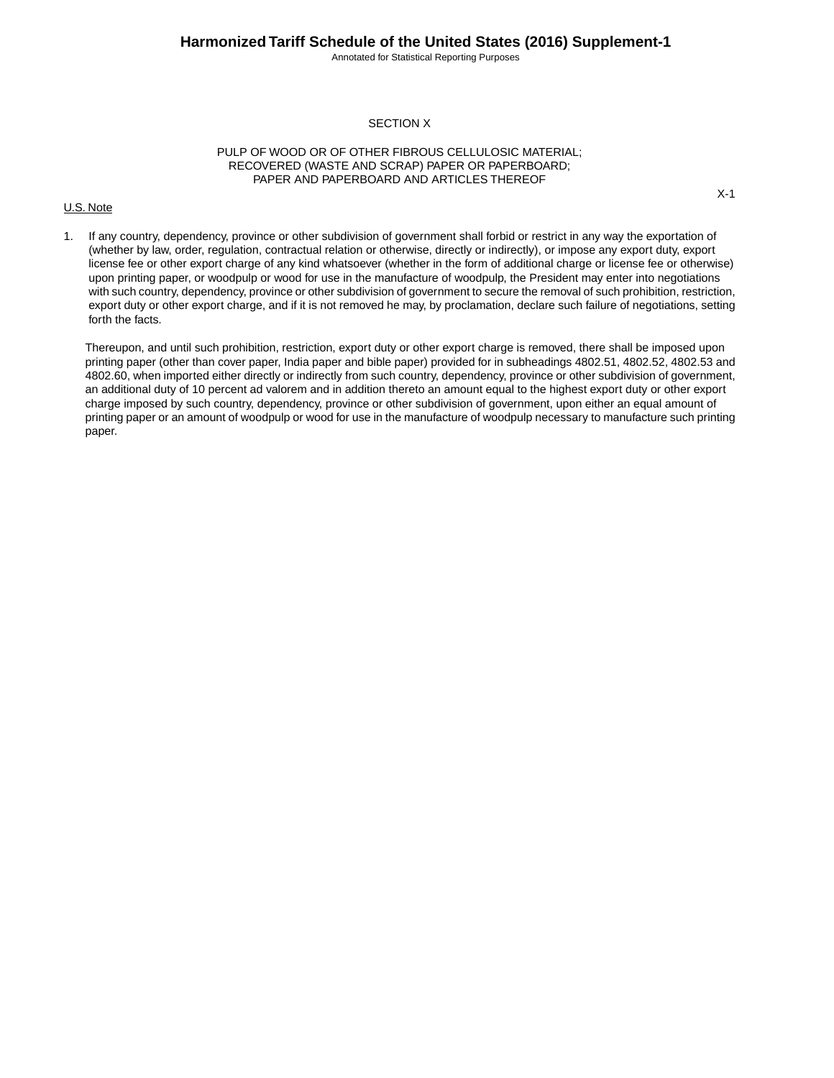Annotated for Statistical Reporting Purposes

# SECTION X

# PULP OF WOOD OR OF OTHER FIBROUS CELLULOSIC MATERIAL; RECOVERED (WASTE AND SCRAP) PAPER OR PAPERBOARD; PAPER AND PAPERBOARD AND ARTICLES THEREOF

### U.S. Note

X-1

1. If any country, dependency, province or other subdivision of government shall forbid or restrict in any way the exportation of (whether by law, order, regulation, contractual relation or otherwise, directly or indirectly), or impose any export duty, export license fee or other export charge of any kind whatsoever (whether in the form of additional charge or license fee or otherwise) upon printing paper, or woodpulp or wood for use in the manufacture of woodpulp, the President may enter into negotiations with such country, dependency, province or other subdivision of government to secure the removal of such prohibition, restriction, export duty or other export charge, and if it is not removed he may, by proclamation, declare such failure of negotiations, setting forth the facts.

Thereupon, and until such prohibition, restriction, export duty or other export charge is removed, there shall be imposed upon printing paper (other than cover paper, India paper and bible paper) provided for in subheadings 4802.51, 4802.52, 4802.53 and 4802.60, when imported either directly or indirectly from such country, dependency, province or other subdivision of government, an additional duty of 10 percent ad valorem and in addition thereto an amount equal to the highest export duty or other export charge imposed by such country, dependency, province or other subdivision of government, upon either an equal amount of printing paper or an amount of woodpulp or wood for use in the manufacture of woodpulp necessary to manufacture such printing paper.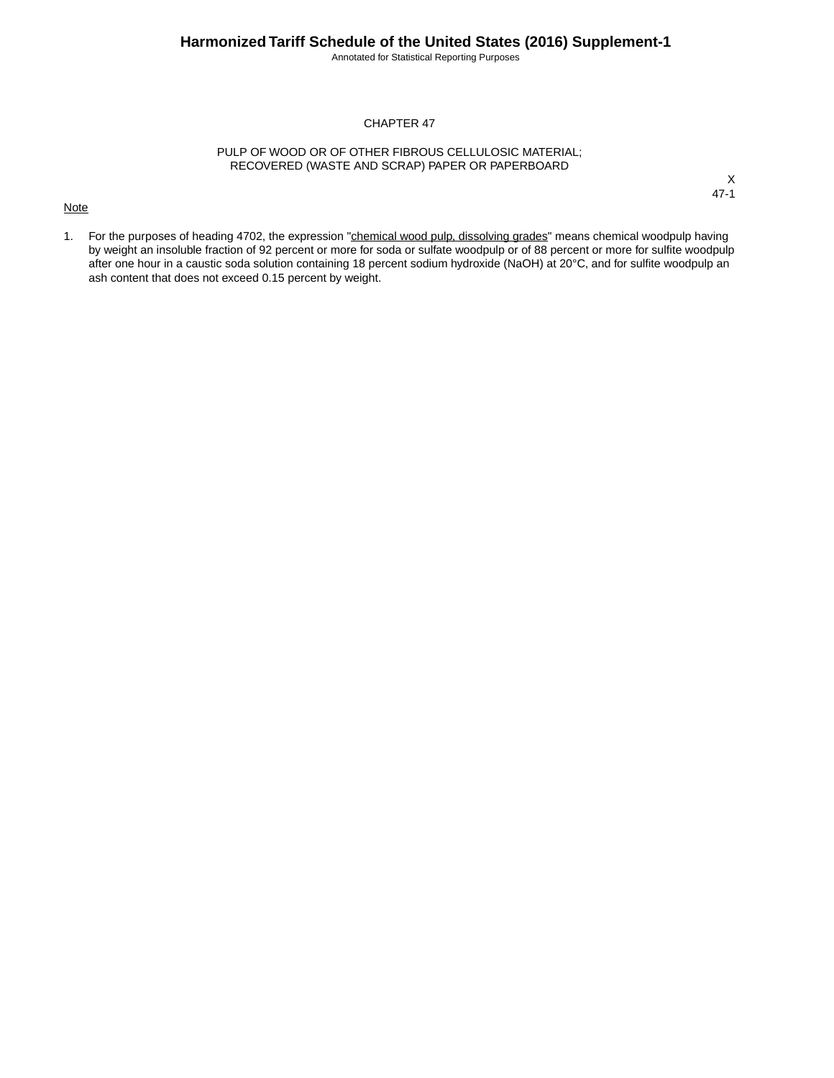Annotated for Statistical Reporting Purposes

# CHAPTER 47

# PULP OF WOOD OR OF OTHER FIBROUS CELLULOSIC MATERIAL; RECOVERED (WASTE AND SCRAP) PAPER OR PAPERBOARD

### **Note**

X 47-1

1. For the purposes of heading 4702, the expression "chemical wood pulp, dissolving grades" means chemical woodpulp having by weight an insoluble fraction of 92 percent or more for soda or sulfate woodpulp or of 88 percent or more for sulfite woodpulp after one hour in a caustic soda solution containing 18 percent sodium hydroxide (NaOH) at 20°C, and for sulfite woodpulp an ash content that does not exceed 0.15 percent by weight.